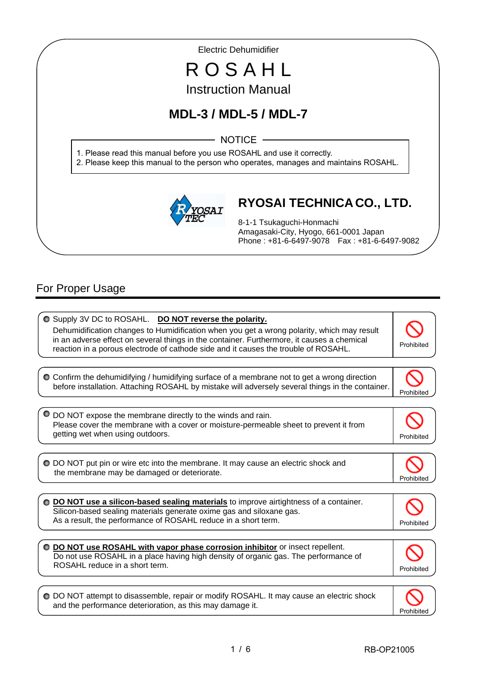Electric Dehumidifier

# R O S A H L Instruction Manual

# **MDL-3 / MDL-5 / MDL-7**

NOTICE -

1. Please read this manual before you use ROSAHL and use it correctly.

2. Please keep this manual to the person who operates, manages and maintains ROSAHL.



# **RYOSAI TECHNICA CO., LTD.**

8-1-1 Tsukaguchi-Honmachi Amagasaki-City, Hyogo, 661-0001 Japan Phone : +81-6-6497-9078 Fax : +81-6-6497-9082

# For Proper Usage

I I

I

 $\overline{\phantom{a}}$  $\bullet$  Supply 3V DC to ROSAHL. **DO NOT reverse the polarity.** Dehumidification changes to Humidification when you get a wrong polarity, which may result in an adverse effect on several things in the container. Furthermore, it causes a chemical reaction in a porous electrode of cathode side and it causes the trouble of ROSAHL. Confirm the dehumidifying / humidifying surface of a membrane not to get a wrong direction before installation. Attaching ROSAHL by mistake will adversely several things in the container. Prohibited DO NOT expose the membrane directly to the winds and rain. Please cover the membrane with a cover or moisture-permeable sheet to prevent it from getting wet when using outdoors. **Prohibited** and the set of the set of the set of the set of the set of the set of the set of the set of the set of the set of the set of the set of the set of the set of the set of the set DO NOT put pin or wire etc into the membrane. It may cause an electric shock and the membrane may be damaged or deteriorate. Prohibited **DO NOT use a silicon-based sealing materials** to improve airtightness of a container. Silicon-based sealing materials generate oxime gas and siloxane gas. As a result, the performance of ROSAHL reduce in a short term. **DO NOT use ROSAHL with vapor phase corrosion inhibitor** or insect repellent. Do not use ROSAHL in a place having high density of organic gas. The performance of ROSAHL reduce in a short term.  $\overline{a}$ Prohibited O DO NOT attempt to disassemble, repair or modify ROSAHL. It may cause an electric shock and the performance deterioration, as this may damage it. Prohibited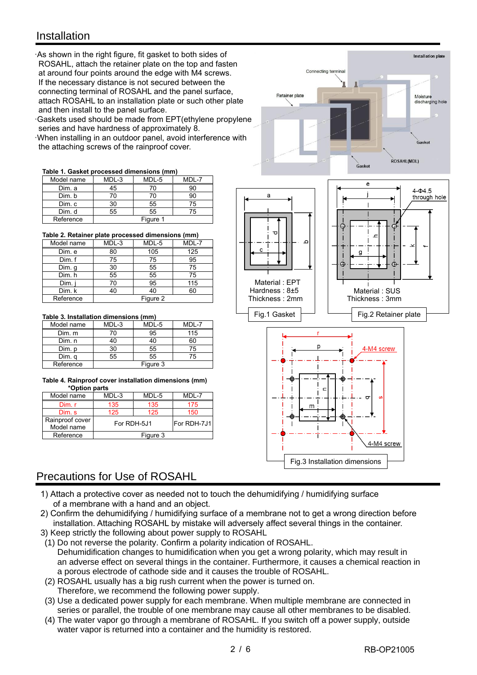## **Installation**

·As shown in the right figure, fit gasket to both sides of ROSAHL, attach the retainer plate on the top and fasten at around four points around the edge with M4 screws. If the necessary distance is not secured between the connecting terminal of ROSAHL and the panel surface, attach ROSAHL to an installation plate or such other plate and then install to the panel surface. I  $\overline{\phantom{a}}$ 

⊤and tnen instail to tne panel surrace.<br>·Gaskets used should be made from EPT(ethylene propylene Series and have hardness of approximately 8.

·When installing in an outdoor panel, avoid interference with the attaching screws of the rainproof cover.

#### **Table 1. Gasket processed dimensions (mm)**

| Model name | MDL-3    | MDL-5 | MDI-7 |
|------------|----------|-------|-------|
| Dim. a     | 45       | 70    |       |
| Dim. b     |          | 70    |       |
| Dim. c     | 30       | 55    | 75    |
| Dim. d     | 55       | 55    | 75    |
| Reference  | Figure 1 |       |       |

**Table 2. Retainer plate processed dimensions (mm)**

| Model name | MDL-3    | MDL-5 | MDL-7 |
|------------|----------|-------|-------|
| Dim. e     | 80       | 105   | 125   |
| Dim. f     | 75       | 75    | 95    |
| Dim. g     | 30       | 55    | 75    |
| Dim. h     | 55       | 55    | 75    |
| Dim.       | 70       | 95    | 115   |
| Dim. k     | 40       | 40    | 60    |
| Reference  | Figure 2 |       |       |

#### **Table 3. Installation dimensions (mm)**

| Model name | MDL-3    | MDL-5 | MDI-7 |
|------------|----------|-------|-------|
| Dim. m     |          | 95    | 115   |
| Dim. n     |          |       | 60    |
| Dim. p     | ۹٨       | 55    | 75    |
| Dim. q     | 55       | 55    | 75    |
| Reference  | Figure 3 |       |       |

#### **Table 4. Rainproof cover installation dimensions (mm) \*Option parts**

| Model name      | MDL-3                      | MDL-5 | MDL-7 |
|-----------------|----------------------------|-------|-------|
| Dim.r           | 135                        | 135   | 175   |
| Dim. s          | 125                        | 125   | 150   |
| Rainproof cover | For RDH-7J1<br>For RDH-5J1 |       |       |
| Model name      |                            |       |       |
| Reference       | Figure 3                   |       |       |

## Precautions for Use of ROSAHL

- 1) Attach a protective cover as needed not to touch the dehumidifying / humidifying surface of a membrane with a hand and an object.
- 2) Confirm the dehumidifying / humidifying surface of a membrane not to get a wrong direction before installation. Attaching ROSAHL by mistake will adversely affect several things in the container.
- 3) Keep strictly the following about power supply to ROSAHL
- (1) Do not reverse the polarity. Confirm a polarity indication of ROSAHL. Dehumidification changes to humidification when you get a wrong polarity, which may result in an adverse effect on several things in the container. Furthermore, it causes a chemical reaction in a porous electrode of cathode side and it causes the trouble of ROSAHL.
- (2) ROSAHL usually has a big rush current when the power is turned on. Therefore, we recommend the following power supply.
- (3) Use a dedicated power supply for each membrane. When multiple membrane are connected in series or parallel, the trouble of one membrane may cause all other membranes to be disabled.
- (4) The water vapor go through a membrane of ROSAHL. If you switch off a power supply, outside water vapor is returned into a container and the humidity is restored.



Connecting terminal

**Retainer nlate** 

Installation plate

Mojeture ivioisture<br>discharging hole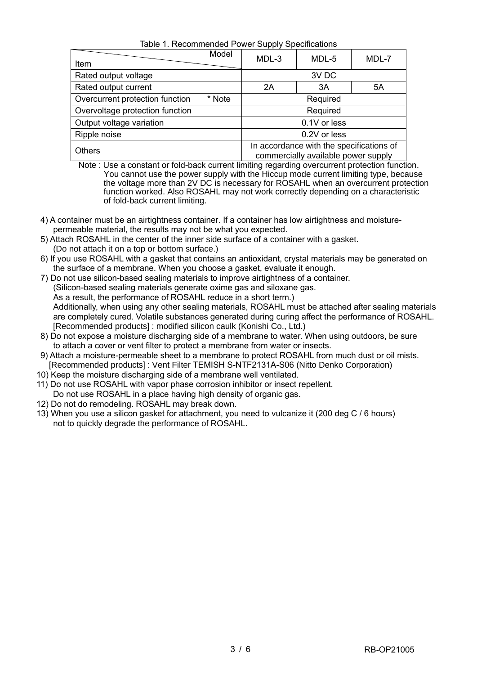Table 1. Recommended Power Supply Specifications

| Item                            | Model        | MDL-3                                                                           | MDL-5    | MDL-7 |
|---------------------------------|--------------|---------------------------------------------------------------------------------|----------|-------|
| Rated output voltage            |              |                                                                                 | 3V DC    |       |
| Rated output current            |              | 2A                                                                              | 3A       | 5A    |
| Overcurrent protection function | * Note       |                                                                                 | Required |       |
| Overvoltage protection function |              |                                                                                 | Required |       |
| Output voltage variation        |              | 0.1V or less                                                                    |          |       |
| Ripple noise                    | 0.2V or less |                                                                                 |          |       |
| <b>Others</b>                   |              | In accordance with the specifications of<br>commercially available power supply |          |       |

 Note : Use a constant or fold-back current limiting regarding overcurrent protection function. You cannot use the power supply with the Hiccup mode current limiting type, because the voltage more than 2V DC is necessary for ROSAHL when an overcurrent protection function worked. Also ROSAHL may not work correctly depending on a characteristic of fold-back current limiting.

- 4) A container must be an airtightness container. If a container has low airtightness and moisture permeable material, the results may not be what you expected.
- 5) Attach ROSAHL in the center of the inner side surface of a container with a gasket. (Do not attach it on a top or bottom surface.)
- 6) If you use ROSAHL with a gasket that contains an antioxidant, crystal materials may be generated on the surface of a membrane. When you choose a gasket, evaluate it enough.
- 7) Do not use silicon-based sealing materials to improve airtightness of a container. (Silicon-based sealing materials generate oxime gas and siloxane gas. As a result, the performance of ROSAHL reduce in a short term.) Additionally, when using any other sealing materials, ROSAHL must be attached after sealing materials are completely cured. Volatile substances generated during curing affect the performance of ROSAHL. [Recommended products] : modified silicon caulk (Konishi Co., Ltd.)
- 8) Do not expose a moisture discharging side of a membrane to water. When using outdoors, be sure to attach a cover or vent filter to protect a membrane from water or insects.
- 9) Attach a moisture-permeable sheet to a membrane to protect ROSAHL from much dust or oil mists. [Recommended products] : Vent Filter TEMISH S-NTF2131A-S06 (Nitto Denko Corporation)
- 10) Keep the moisture discharging side of a membrane well ventilated.
- 11) Do not use ROSAHL with vapor phase corrosion inhibitor or insect repellent. Do not use ROSAHL in a place having high density of organic gas.
- 12) Do not do remodeling. ROSAHL may break down.
- 13) When you use a silicon gasket for attachment, you need to vulcanize it (200 deg C / 6 hours) not to quickly degrade the performance of ROSAHL.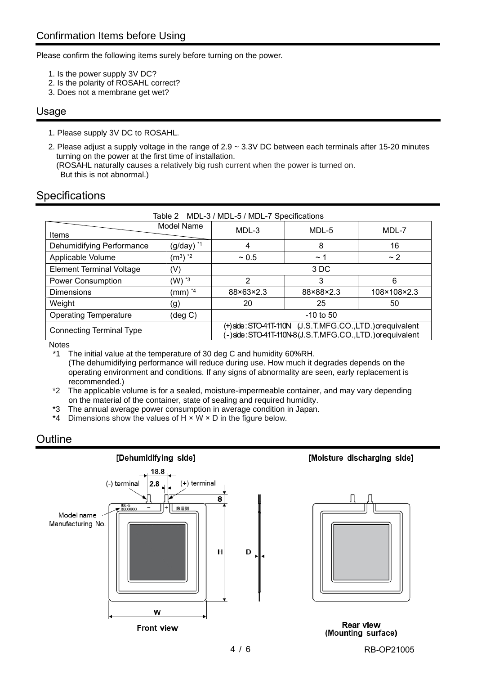Please confirm the following items surely before turning on the power.

- 1. Is the power supply 3V DC?
- 2. Is the polarity of ROSAHL correct?
- 3. Does not a membrane get wet?

### Usage

- 1. Please supply 3V DC to ROSAHL.
- 2. Please adjust a supply voltage in the range of 2.9 ~ 3.3V DC between each terminals after 15-20 minutes turning on the power at the first time of installation. (ROSAHL naturally causes a relatively big rush current when the power is turned on.

But this is not abnormal.)

## **Specifications**

| Table 2 MDL-3 / MDL-5 / MDL-7 Specifications                                                                                                          |                     |           |             |             |
|-------------------------------------------------------------------------------------------------------------------------------------------------------|---------------------|-----------|-------------|-------------|
| Items                                                                                                                                                 | Model Name          | MDL-3     | MDL-5       | MDL-7       |
| Dehumidifying Performance                                                                                                                             | $(g/day)$ *1        | 4         | 8           | 16          |
| Applicable Volume                                                                                                                                     | $(m^3)$ $^*2$       | $~1$ 0.5  | $\sim$ 1    | $\sim$ 2    |
| <b>Element Terminal Voltage</b>                                                                                                                       | (V)                 |           | 3 DC        |             |
| <b>Power Consumption</b>                                                                                                                              | $(W)$ $*3$          | 2         | 3           | 6           |
| <b>Dimensions</b>                                                                                                                                     | (mm) * <sup>4</sup> | 88×63×2.3 | 88×88×2.3   | 108×108×2.3 |
| Weight                                                                                                                                                | (g)                 | 20        | 25          | 50          |
| <b>Operating Temperature</b>                                                                                                                          | (deg C)             |           | $-10$ to 50 |             |
| (+)side:STO-41T-110N (J.S.T.MFG.CO.,LTD.) or equivalent<br><b>Connecting Terminal Type</b><br>-)side:STO-41T-110N-8(J.S.T.MFG.CO.,LTD.) or equivalent |                     |           |             |             |
| N <sub>0</sub>                                                                                                                                        |                     |           |             |             |

Notes

\*1 The initial value at the temperature of 30 deg C and humidity 60%RH. (The dehumidifying performance will reduce during use. How much it degrades depends on the operating environment and conditions. If any signs of abnormality are seen, early replacement is recommended.)

- \*2 The applicable volume is for a sealed, moisture-impermeable container, and may vary depending on the material of the container, state of sealing and required humidity.
- \*3 The annual average power consumption in average condition in Japan.
- \*4 Dimensions show the values of  $H \times W \times D$  in the figure below.

## **Outline**



4 / 6 RB-OP21005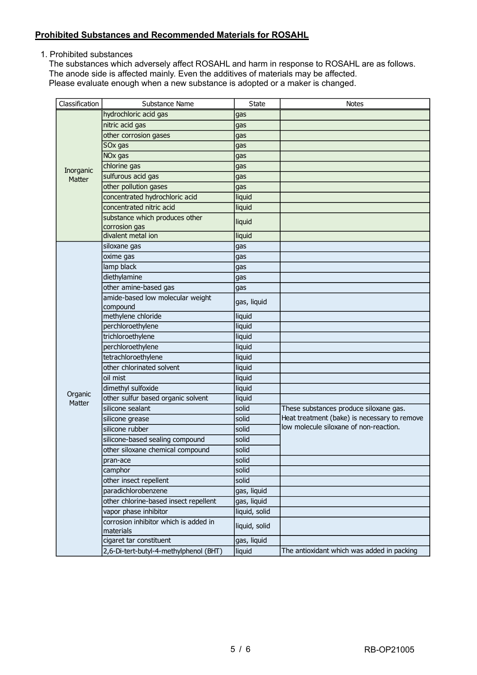### **Prohibited Substances and Recommended Materials for ROSAHL**

1. Prohibited substances

The substances which adversely affect ROSAHL and harm in response to ROSAHL are as follows. The anode side is affected mainly. Even the additives of materials may be affected. Please evaluate enough when a new substance is adopted or a maker is changed.

| Classification | Substance Name                                     | <b>State</b>  | <b>Notes</b>                                                                           |
|----------------|----------------------------------------------------|---------------|----------------------------------------------------------------------------------------|
|                | hydrochloric acid gas                              | gas           |                                                                                        |
|                | nitric acid gas                                    | gas           |                                                                                        |
|                | other corrosion gases                              | gas           |                                                                                        |
|                | SOx gas                                            | gas           |                                                                                        |
|                | NO <sub>x</sub> gas                                | gas           |                                                                                        |
| Inorganic      | chlorine gas                                       | gas           |                                                                                        |
| Matter         | sulfurous acid gas                                 | gas           |                                                                                        |
|                | other pollution gases                              | gas           |                                                                                        |
|                | concentrated hydrochloric acid                     | liquid        |                                                                                        |
|                | concentrated nitric acid                           | liquid        |                                                                                        |
|                | substance which produces other                     | liquid        |                                                                                        |
|                | corrosion gas                                      |               |                                                                                        |
|                | divalent metal ion                                 | liquid        |                                                                                        |
|                | siloxane gas                                       | gas           |                                                                                        |
|                | oxime gas                                          | gas           |                                                                                        |
|                | lamp black                                         | gas           |                                                                                        |
|                | diethylamine                                       | gas           |                                                                                        |
|                | other amine-based gas                              | gas           |                                                                                        |
|                | amide-based low molecular weight                   | gas, liquid   |                                                                                        |
|                | compound                                           |               |                                                                                        |
|                | methylene chloride                                 | liquid        |                                                                                        |
|                | perchloroethylene                                  | liquid        |                                                                                        |
|                | trichloroethylene                                  | liquid        |                                                                                        |
|                | perchloroethylene                                  | liquid        |                                                                                        |
|                | tetrachloroethylene<br>other chlorinated solvent   | liquid        |                                                                                        |
|                |                                                    | liquid        |                                                                                        |
|                | oil mist                                           | liquid        |                                                                                        |
| Organic        | dimethyl sulfoxide                                 | liquid        |                                                                                        |
| Matter         | other sulfur based organic solvent                 | liquid        |                                                                                        |
|                | silicone sealant                                   | solid         | These substances produce siloxane gas.                                                 |
|                | silicone grease                                    | solid         | Heat treatment (bake) is necessary to remove<br>low molecule siloxane of non-reaction. |
|                | silicone rubber                                    | solid         |                                                                                        |
|                | silicone-based sealing compound                    | solid         |                                                                                        |
|                | other siloxane chemical compound                   | solid         |                                                                                        |
|                | pran-ace                                           | solid         |                                                                                        |
|                | camphor                                            | solid         |                                                                                        |
|                | other insect repellent                             | solid         |                                                                                        |
|                | paradichlorobenzene                                | gas, liquid   |                                                                                        |
|                | other chlorine-based insect repellent              | gas, liquid   |                                                                                        |
|                | vapor phase inhibitor                              | liquid, solid |                                                                                        |
|                | corrosion inhibitor which is added in<br>materials | liquid, solid |                                                                                        |
|                | cigaret tar constituent                            | gas, liquid   |                                                                                        |
|                | 2,6-Di-tert-butyl-4-methylphenol (BHT)             | liquid        | The antioxidant which was added in packing                                             |